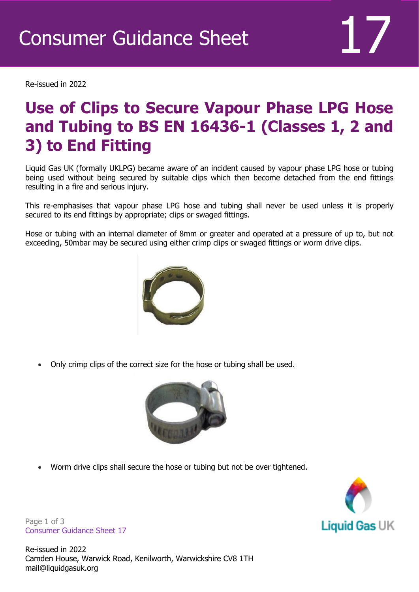Re-issued in 2022

## **Use of Clips to Secure Vapour Phase LPG Hose and Tubing to BS EN 16436-1 (Classes 1, 2 and 3) to End Fitting**

Liquid Gas UK (formally UKLPG) became aware of an incident caused by vapour phase LPG hose or tubing being used without being secured by suitable clips which then become detached from the end fittings resulting in a fire and serious injury.

This re-emphasises that vapour phase LPG hose and tubing shall never be used unless it is properly secured to its end fittings by appropriate; clips or swaged fittings.

Hose or tubing with an internal diameter of 8mm or greater and operated at a pressure of up to, but not exceeding, 50mbar may be secured using either crimp clips or swaged fittings or worm drive clips.



• Only crimp clips of the correct size for the hose or tubing shall be used.



• Worm drive clips shall secure the hose or tubing but not be over tightened.



Page 1 of 3 Consumer Guidance Sheet 17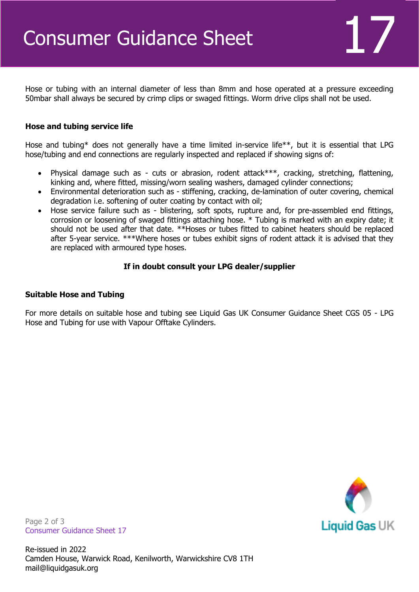Hose or tubing with an internal diameter of less than 8mm and hose operated at a pressure exceeding 50mbar shall always be secured by crimp clips or swaged fittings. Worm drive clips shall not be used.

### **Hose and tubing service life**

Hose and tubing\* does not generally have a time limited in-service life\*\*, but it is essential that LPG hose/tubing and end connections are regularly inspected and replaced if showing signs of:

- Physical damage such as cuts or abrasion, rodent attack\*\*\*, cracking, stretching, flattening, kinking and, where fitted, missing/worn sealing washers, damaged cylinder connections;
- Environmental deterioration such as stiffening, cracking, de-lamination of outer covering, chemical degradation i.e. softening of outer coating by contact with oil;
- Hose service failure such as blistering, soft spots, rupture and, for pre-assembled end fittings, corrosion or loosening of swaged fittings attaching hose. \* Tubing is marked with an expiry date; it should not be used after that date. \*\*Hoses or tubes fitted to cabinet heaters should be replaced after 5-year service. \*\*\*Where hoses or tubes exhibit signs of rodent attack it is advised that they are replaced with armoured type hoses.

#### **If in doubt consult your LPG dealer/supplier**

#### **Suitable Hose and Tubing**

For more details on suitable hose and tubing see Liquid Gas UK Consumer Guidance Sheet CGS 05 - LPG Hose and Tubing for use with Vapour Offtake Cylinders.



Page 2 of 3 Consumer Guidance Sheet 17